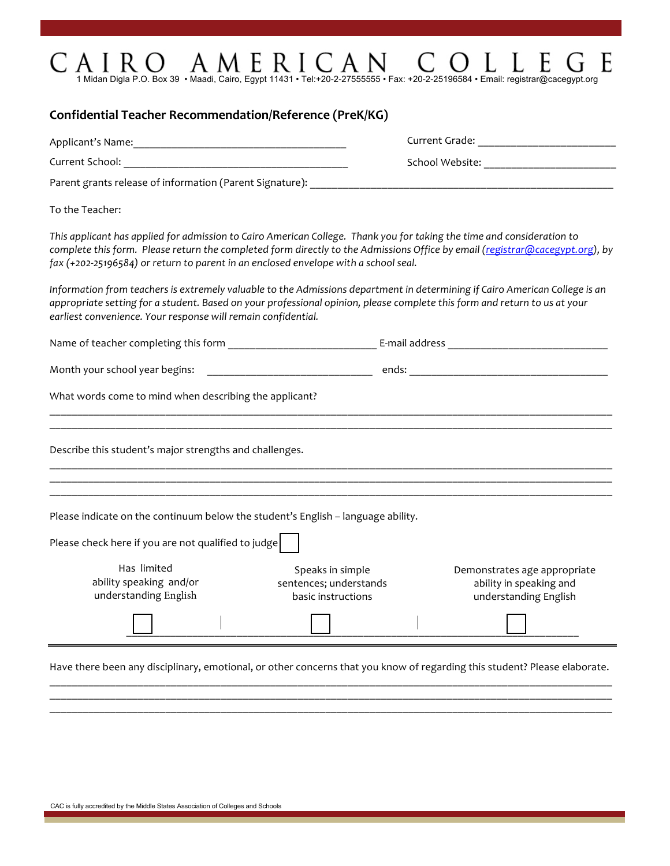## $C \text{ and } R \text{ is a 1-2} \sum_{\text{1 Midan Digla P.O. Box 39}} \text{ and } \text{MMLE} \text{ and } \text{Caypt 11431 - Tel: +20-2-27555555 - Fax: +20-2-25196584 - Email: registryCacegypt.org.}$ G E

| Parent grants release of information (Parent Signature): ___________                |                                                                                                                                                                                                                                                          |                                                                                  |  |  |
|-------------------------------------------------------------------------------------|----------------------------------------------------------------------------------------------------------------------------------------------------------------------------------------------------------------------------------------------------------|----------------------------------------------------------------------------------|--|--|
| To the Teacher:                                                                     |                                                                                                                                                                                                                                                          |                                                                                  |  |  |
| fax (+202-25196584) or return to parent in an enclosed envelope with a school seal. | This applicant has applied for admission to Cairo American College. Thank you for taking the time and consideration to<br>complete this form. Please return the completed form directly to the Admissions Office by email (registrar@cacegypt.org), by   |                                                                                  |  |  |
| earliest convenience. Your response will remain confidential.                       | Information from teachers is extremely valuable to the Admissions department in determining if Cairo American College is an<br>appropriate setting for a student. Based on your professional opinion, please complete this form and return to us at your |                                                                                  |  |  |
|                                                                                     |                                                                                                                                                                                                                                                          |                                                                                  |  |  |
|                                                                                     |                                                                                                                                                                                                                                                          |                                                                                  |  |  |
| What words come to mind when describing the applicant?                              |                                                                                                                                                                                                                                                          |                                                                                  |  |  |
| Describe this student's major strengths and challenges.                             |                                                                                                                                                                                                                                                          |                                                                                  |  |  |
|                                                                                     |                                                                                                                                                                                                                                                          |                                                                                  |  |  |
| Please indicate on the continuum below the student's English - language ability.    |                                                                                                                                                                                                                                                          |                                                                                  |  |  |
| Please check here if you are not qualified to judge                                 |                                                                                                                                                                                                                                                          |                                                                                  |  |  |
| Has limited<br>ability speaking and/or<br>understanding English                     | Speaks in simple<br>sentences; understands<br>basic instructions                                                                                                                                                                                         | Demonstrates age appropriate<br>ability in speaking and<br>understanding English |  |  |

 $\mathcal{L}_\mathcal{L} = \mathcal{L}_\mathcal{L} = \mathcal{L}_\mathcal{L} = \mathcal{L}_\mathcal{L} = \mathcal{L}_\mathcal{L} = \mathcal{L}_\mathcal{L} = \mathcal{L}_\mathcal{L} = \mathcal{L}_\mathcal{L} = \mathcal{L}_\mathcal{L} = \mathcal{L}_\mathcal{L} = \mathcal{L}_\mathcal{L} = \mathcal{L}_\mathcal{L} = \mathcal{L}_\mathcal{L} = \mathcal{L}_\mathcal{L} = \mathcal{L}_\mathcal{L} = \mathcal{L}_\mathcal{L} = \mathcal{L}_\mathcal{L}$  $\mathcal{L}_\mathcal{L} = \mathcal{L}_\mathcal{L} = \mathcal{L}_\mathcal{L} = \mathcal{L}_\mathcal{L} = \mathcal{L}_\mathcal{L} = \mathcal{L}_\mathcal{L} = \mathcal{L}_\mathcal{L} = \mathcal{L}_\mathcal{L} = \mathcal{L}_\mathcal{L} = \mathcal{L}_\mathcal{L} = \mathcal{L}_\mathcal{L} = \mathcal{L}_\mathcal{L} = \mathcal{L}_\mathcal{L} = \mathcal{L}_\mathcal{L} = \mathcal{L}_\mathcal{L} = \mathcal{L}_\mathcal{L} = \mathcal{L}_\mathcal{L}$